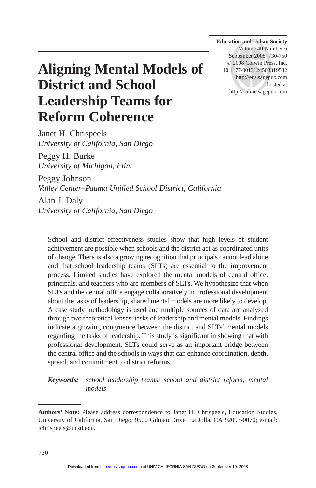**Aligning Mental Models of District and School Leadership Teams for Reform Coherence**

**Education and Urban Society** Volume 40 Number 6 September 2008 730-750 © 2008 Corwin Press, Inc. 10.1177/0013124508319582 http://eus.sagepub.com hosted at http://online.sagepub.com

Janet H. Chrispeels *University of California, San Diego*

Peggy H. Burke *University of Michigan, Flint*

Peggy Johnson *Valley Center–Pauma Unified School District, California*

Alan J. Daly *University of California, San Diego*

School and district effectiveness studies show that high levels of student achievement are possible when schools and the district act as coordinated units of change. There is also a growing recognition that principals cannot lead alone and that school leadership teams (SLTs) are essential to the improvement process. Limited studies have explored the mental models of central office, principals, and teachers who are members of SLTs. We hypothesize that when SLTs and the central office engage collaboratively in professional development about the tasks of leadership, shared mental models are more likely to develop. A case study methodology is used and multiple sources of data are analyzed through two theoretical lenses: tasks of leadership and mental models. Findings indicate a growing congruence between the district and SLTs' mental models regarding the tasks of leadership. This study is significant in showing that with professional development, SLTs could serve as an important bridge between the central office and the schools in ways that can enhance coordination, depth, spread, and commitment to district reforms.

*Keywords: school leadership teams; school and district reform; mental models*

**Authors' Note:** Please address correspondence to Janet H. Chrispeels, Education Studies, University of California, San Diego, 9500 Gilman Drive, La Jolla, CA 92093-0070; e-mail: jchrispeels@ucsd.edu.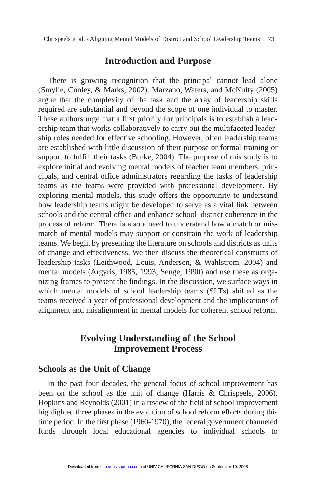Chrispeels et al. / Aligning Mental Models of District and School Leadership Teams 731

## **Introduction and Purpose**

There is growing recognition that the principal cannot lead alone (Smylie, Conley, & Marks, 2002). Marzano, Waters, and McNulty (2005) argue that the complexity of the task and the array of leadership skills required are substantial and beyond the scope of one individual to master. These authors urge that a first priority for principals is to establish a leadership team that works collaboratively to carry out the multifaceted leadership roles needed for effective schooling. However, often leadership teams are established with little discussion of their purpose or formal training or support to fulfill their tasks (Burke, 2004). The purpose of this study is to explore initial and evolving mental models of teacher team members, principals, and central office administrators regarding the tasks of leadership teams as the teams were provided with professional development. By exploring mental models, this study offers the opportunity to understand how leadership teams might be developed to serve as a vital link between schools and the central office and enhance school–district coherence in the process of reform. There is also a need to understand how a match or mismatch of mental models may support or constrain the work of leadership teams. We begin by presenting the literature on schools and districts as units of change and effectiveness. We then discuss the theoretical constructs of leadership tasks (Leithwood, Louis, Anderson, & Wahlstrom, 2004) and mental models (Argyris, 1985, 1993; Senge, 1990) and use these as organizing frames to present the findings. In the discussion, we surface ways in which mental models of school leadership teams (SLTs) shifted as the teams received a year of professional development and the implications of alignment and misalignment in mental models for coherent school reform.

# **Evolving Understanding of the School Improvement Process**

#### **Schools as the Unit of Change**

In the past four decades, the general focus of school improvement has been on the school as the unit of change (Harris & Chrispeels, 2006). Hopkins and Reynolds (2001) in a review of the field of school improvement highlighted three phases in the evolution of school reform efforts during this time period. In the first phase (1960-1970), the federal government channeled funds through local educational agencies to individual schools to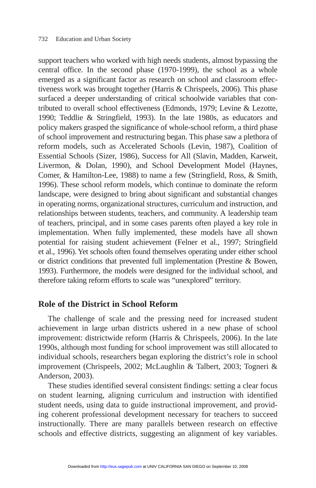support teachers who worked with high needs students, almost bypassing the central office. In the second phase (1970-1999), the school as a whole emerged as a significant factor as research on school and classroom effectiveness work was brought together (Harris & Chrispeels, 2006). This phase surfaced a deeper understanding of critical schoolwide variables that contributed to overall school effectiveness (Edmonds, 1979; Levine & Lezotte, 1990; Teddlie & Stringfield, 1993). In the late 1980s, as educators and policy makers grasped the significance of whole-school reform, a third phase of school improvement and restructuring began. This phase saw a plethora of reform models, such as Accelerated Schools (Levin, 1987), Coalition of Essential Schools (Sizer, 1986), Success for All (Slavin, Madden, Karweit, Livermon, & Dolan, 1990), and School Development Model (Haynes, Comer, & Hamilton-Lee, 1988) to name a few (Stringfield, Ross, & Smith, 1996). These school reform models, which continue to dominate the reform landscape, were designed to bring about significant and substantial changes in operating norms, organizational structures, curriculum and instruction, and relationships between students, teachers, and community. A leadership team of teachers, principal, and in some cases parents often played a key role in implementation. When fully implemented, these models have all shown potential for raising student achievement (Felner et al., 1997; Stringfield et al., 1996). Yet schools often found themselves operating under either school or district conditions that prevented full implementation (Prestine & Bowen, 1993). Furthermore, the models were designed for the individual school, and therefore taking reform efforts to scale was "unexplored" territory.

## **Role of the District in School Reform**

The challenge of scale and the pressing need for increased student achievement in large urban districts ushered in a new phase of school improvement: districtwide reform (Harris & Chrispeels, 2006). In the late 1990s, although most funding for school improvement was still allocated to individual schools, researchers began exploring the district's role in school improvement (Chrispeels, 2002; McLaughlin & Talbert, 2003; Togneri & Anderson, 2003).

These studies identified several consistent findings: setting a clear focus on student learning, aligning curriculum and instruction with identified student needs, using data to guide instructional improvement, and providing coherent professional development necessary for teachers to succeed instructionally. There are many parallels between research on effective schools and effective districts, suggesting an alignment of key variables.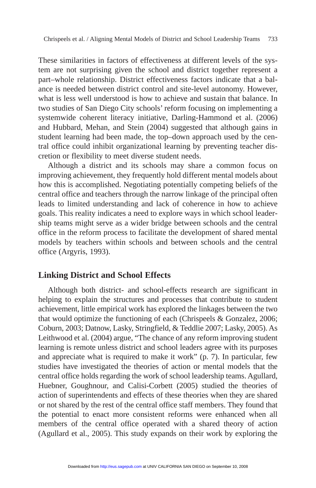These similarities in factors of effectiveness at different levels of the system are not surprising given the school and district together represent a part–whole relationship. District effectiveness factors indicate that a balance is needed between district control and site-level autonomy. However, what is less well understood is how to achieve and sustain that balance. In two studies of San Diego City schools' reform focusing on implementing a systemwide coherent literacy initiative, Darling-Hammond et al. (2006) and Hubbard, Mehan, and Stein (2004) suggested that although gains in student learning had been made, the top–down approach used by the central office could inhibit organizational learning by preventing teacher discretion or flexibility to meet diverse student needs.

Although a district and its schools may share a common focus on improving achievement, they frequently hold different mental models about how this is accomplished. Negotiating potentially competing beliefs of the central office and teachers through the narrow linkage of the principal often leads to limited understanding and lack of coherence in how to achieve goals. This reality indicates a need to explore ways in which school leadership teams might serve as a wider bridge between schools and the central office in the reform process to facilitate the development of shared mental models by teachers within schools and between schools and the central office (Argyris, 1993).

#### **Linking District and School Effects**

Although both district- and school-effects research are significant in helping to explain the structures and processes that contribute to student achievement, little empirical work has explored the linkages between the two that would optimize the functioning of each (Chrispeels & Gonzalez, 2006; Coburn, 2003; Datnow, Lasky, Stringfield, & Teddlie 2007; Lasky, 2005). As Leithwood et al. (2004) argue, "The chance of any reform improving student learning is remote unless district and school leaders agree with its purposes and appreciate what is required to make it work" (p. 7). In particular, few studies have investigated the theories of action or mental models that the central office holds regarding the work of school leadership teams. Agullard, Huebner, Goughnour, and Calisi-Corbett (2005) studied the theories of action of superintendents and effects of these theories when they are shared or not shared by the rest of the central office staff members. They found that the potential to enact more consistent reforms were enhanced when all members of the central office operated with a shared theory of action (Agullard et al., 2005). This study expands on their work by exploring the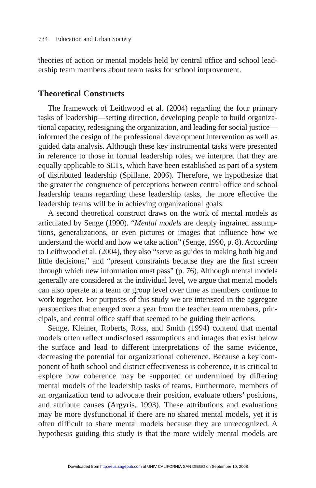theories of action or mental models held by central office and school leadership team members about team tasks for school improvement.

### **Theoretical Constructs**

The framework of Leithwood et al. (2004) regarding the four primary tasks of leadership—setting direction, developing people to build organizational capacity, redesigning the organization, and leading for social justice informed the design of the professional development intervention as well as guided data analysis. Although these key instrumental tasks were presented in reference to those in formal leadership roles, we interpret that they are equally applicable to SLTs, which have been established as part of a system of distributed leadership (Spillane, 2006). Therefore, we hypothesize that the greater the congruence of perceptions between central office and school leadership teams regarding these leadership tasks, the more effective the leadership teams will be in achieving organizational goals.

A second theoretical construct draws on the work of mental models as articulated by Senge (1990). "*Mental models* are deeply ingrained assumptions, generalizations, or even pictures or images that influence how we understand the world and how we take action" (Senge, 1990, p. 8). According to Leithwood et al. (2004), they also "serve as guides to making both big and little decisions," and "present constraints because they are the first screen through which new information must pass" (p. 76). Although mental models generally are considered at the individual level, we argue that mental models can also operate at a team or group level over time as members continue to work together. For purposes of this study we are interested in the aggregate perspectives that emerged over a year from the teacher team members, principals, and central office staff that seemed to be guiding their actions.

Senge, Kleiner, Roberts, Ross, and Smith (1994) contend that mental models often reflect undisclosed assumptions and images that exist below the surface and lead to different interpretations of the same evidence, decreasing the potential for organizational coherence. Because a key component of both school and district effectiveness is coherence, it is critical to explore how coherence may be supported or undermined by differing mental models of the leadership tasks of teams. Furthermore, members of an organization tend to advocate their position, evaluate others' positions, and attribute causes (Argyris, 1993). These attributions and evaluations may be more dysfunctional if there are no shared mental models, yet it is often difficult to share mental models because they are unrecognized. A hypothesis guiding this study is that the more widely mental models are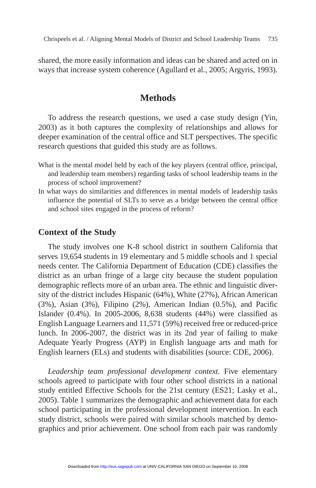shared, the more easily information and ideas can be shared and acted on in ways that increase system coherence (Agullard et al., 2005; Argyris, 1993).

# **Methods**

To address the research questions, we used a case study design (Yin, 2003) as it both captures the complexity of relationships and allows for deeper examination of the central office and SLT perspectives. The specific research questions that guided this study are as follows.

- What is the mental model held by each of the key players (central office, principal, and leadership team members) regarding tasks of school leadership teams in the process of school improvement?
- In what ways do similarities and differences in mental models of leadership tasks influence the potential of SLTs to serve as a bridge between the central office and school sites engaged in the process of reform?

#### **Context of the Study**

The study involves one K-8 school district in southern California that serves 19,654 students in 19 elementary and 5 middle schools and 1 special needs center. The California Department of Education (CDE) classifies the district as an urban fringe of a large city because the student population demographic reflects more of an urban area. The ethnic and linguistic diversity of the district includes Hispanic (64%), White (27%), African American (3%), Asian (3%), Filipino (2%), American Indian (0.5%), and Pacific Islander (0.4%). In 2005-2006, 8,638 students (44%) were classified as English Language Learners and 11,571 (59%) received free or reduced-price lunch. In 2006-2007, the district was in its 2nd year of failing to make Adequate Yearly Progress (AYP) in English language arts and math for English learners (ELs) and students with disabilities (source: CDE, 2006).

*Leadership team professional development context.* Five elementary schools agreed to participate with four other school districts in a national study entitled Effective Schools for the 21st century (ES21; Lasky et al., 2005). Table 1 summarizes the demographic and achievement data for each school participating in the professional development intervention. In each study district, schools were paired with similar schools matched by demographics and prior achievement. One school from each pair was randomly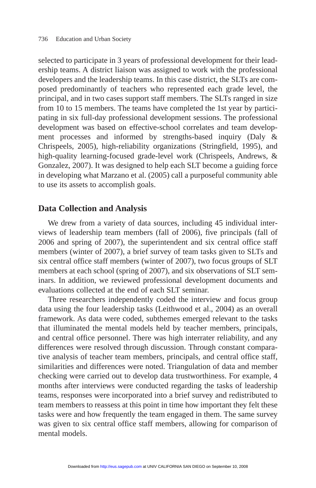selected to participate in 3 years of professional development for their leadership teams. A district liaison was assigned to work with the professional developers and the leadership teams. In this case district, the SLTs are composed predominantly of teachers who represented each grade level, the principal, and in two cases support staff members. The SLTs ranged in size from 10 to 15 members. The teams have completed the 1st year by participating in six full-day professional development sessions. The professional development was based on effective-school correlates and team development processes and informed by strengths-based inquiry (Daly & Chrispeels, 2005), high-reliability organizations (Stringfield, 1995), and high-quality learning-focused grade-level work (Chrispeels, Andrews, & Gonzalez, 2007). It was designed to help each SLT become a guiding force in developing what Marzano et al. (2005) call a purposeful community able to use its assets to accomplish goals.

#### **Data Collection and Analysis**

We drew from a variety of data sources, including 45 individual interviews of leadership team members (fall of 2006), five principals (fall of 2006 and spring of 2007), the superintendent and six central office staff members (winter of 2007), a brief survey of team tasks given to SLTs and six central office staff members (winter of 2007), two focus groups of SLT members at each school (spring of 2007), and six observations of SLT seminars. In addition, we reviewed professional development documents and evaluations collected at the end of each SLT seminar.

Three researchers independently coded the interview and focus group data using the four leadership tasks (Leithwood et al., 2004) as an overall framework. As data were coded, subthemes emerged relevant to the tasks that illuminated the mental models held by teacher members, principals, and central office personnel. There was high interrater reliability, and any differences were resolved through discussion. Through constant comparative analysis of teacher team members, principals, and central office staff, similarities and differences were noted. Triangulation of data and member checking were carried out to develop data trustworthiness. For example, 4 months after interviews were conducted regarding the tasks of leadership teams, responses were incorporated into a brief survey and redistributed to team members to reassess at this point in time how important they felt these tasks were and how frequently the team engaged in them. The same survey was given to six central office staff members, allowing for comparison of mental models.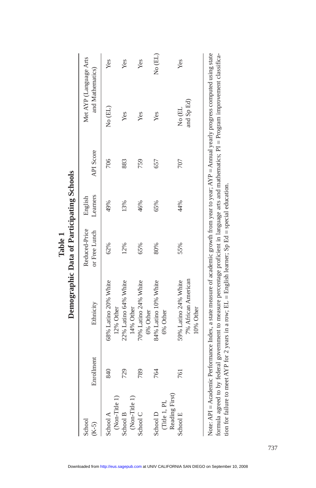|                                            |            |                                                                                                                                                                                                                                                                                                                                                                                                                 | Demographic Data of Participating Schools<br>Table 1 |                     |                  |                                            |         |
|--------------------------------------------|------------|-----------------------------------------------------------------------------------------------------------------------------------------------------------------------------------------------------------------------------------------------------------------------------------------------------------------------------------------------------------------------------------------------------------------|------------------------------------------------------|---------------------|------------------|--------------------------------------------|---------|
| School<br>$(K-5)$                          | Enrollment | Ethnicity                                                                                                                                                                                                                                                                                                                                                                                                       | Reduced-Price<br>or Free Lunch                       | Learners<br>English | <b>API Score</b> | Met AYP (Language Arts<br>and Mathematics) |         |
| (Non-Title 1)<br>School A                  | 840        | 68% Latino 20% White<br>12% Other                                                                                                                                                                                                                                                                                                                                                                               | 62%                                                  | 49%                 | 706              | No (EL)                                    | Yes     |
| (Non-Title 1)<br>School B                  | 729        | 22% Latino 64% White<br>14% Other                                                                                                                                                                                                                                                                                                                                                                               | 12%                                                  | 13%                 | 883              | Yes                                        | Yes     |
| School C                                   | 789        | 70% Latino 24% White<br>6% Other                                                                                                                                                                                                                                                                                                                                                                                | 65%                                                  | 46%                 | 759              | Yes                                        | Yes     |
| Reading First)<br>Title 1, PI,<br>School D | 764        | 84% Latino 10% White<br>6% Other                                                                                                                                                                                                                                                                                                                                                                                | 80%                                                  | 65%                 | 657              | Yes                                        | No (EL) |
| School E                                   | 761        | 7% African American<br>59% Latino 24% White<br>10% Other                                                                                                                                                                                                                                                                                                                                                        | 55%                                                  | 44%                 | 707              | and Sp Ed)<br>No (EL                       | Yes     |
|                                            |            | Note: API = Academic Performance Index, a state measure of academic growth from year to year; AYP = Annual yearly progress computed using state<br>formula agreed to by federal government to measure percentage proficient in language arts and mathematics; PI = Program improvement classifica-<br>tion for failure to meet AYP for 2 years in a row; $EL = English learner$ ; $Sp Ed = special education$ . |                                                      |                     |                  |                                            |         |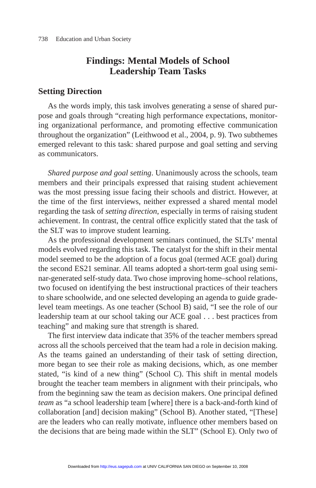# **Findings: Mental Models of School Leadership Team Tasks**

#### **Setting Direction**

As the words imply, this task involves generating a sense of shared purpose and goals through "creating high performance expectations, monitoring organizational performance, and promoting effective communication throughout the organization" (Leithwood et al., 2004, p. 9). Two subthemes emerged relevant to this task: shared purpose and goal setting and serving as communicators.

*Shared purpose and goal setting*. Unanimously across the schools, team members and their principals expressed that raising student achievement was the most pressing issue facing their schools and district. However, at the time of the first interviews, neither expressed a shared mental model regarding the task of *setting direction*, especially in terms of raising student achievement. In contrast, the central office explicitly stated that the task of the SLT was to improve student learning.

As the professional development seminars continued, the SLTs' mental models evolved regarding this task. The catalyst for the shift in their mental model seemed to be the adoption of a focus goal (termed ACE goal) during the second ES21 seminar. All teams adopted a short-term goal using seminar-generated self-study data. Two chose improving home–school relations, two focused on identifying the best instructional practices of their teachers to share schoolwide, and one selected developing an agenda to guide gradelevel team meetings. As one teacher (School B) said, "I see the role of our leadership team at our school taking our ACE goal . . . best practices from teaching" and making sure that strength is shared.

The first interview data indicate that 35% of the teacher members spread across all the schools perceived that the team had a role in decision making. As the teams gained an understanding of their task of setting direction, more began to see their role as making decisions, which, as one member stated, "is kind of a new thing" (School C). This shift in mental models brought the teacher team members in alignment with their principals, who from the beginning saw the team as decision makers. One principal defined *team* as "a school leadership team [where] there is a back-and-forth kind of collaboration [and] decision making" (School B). Another stated, "[These] are the leaders who can really motivate, influence other members based on the decisions that are being made within the SLT" (School E). Only two of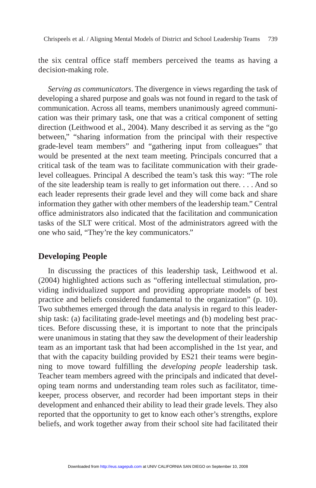Chrispeels et al. / Aligning Mental Models of District and School Leadership Teams 739

the six central office staff members perceived the teams as having a decision-making role.

*Serving as communicators*. The divergence in views regarding the task of developing a shared purpose and goals was not found in regard to the task of communication. Across all teams, members unanimously agreed communication was their primary task, one that was a critical component of setting direction (Leithwood et al., 2004). Many described it as serving as the "go between," "sharing information from the principal with their respective grade-level team members" and "gathering input from colleagues" that would be presented at the next team meeting. Principals concurred that a critical task of the team was to facilitate communication with their gradelevel colleagues. Principal A described the team's task this way: "The role of the site leadership team is really to get information out there. . . . And so each leader represents their grade level and they will come back and share information they gather with other members of the leadership team." Central office administrators also indicated that the facilitation and communication tasks of the SLT were critical. Most of the administrators agreed with the one who said, "They're the key communicators."

## **Developing People**

In discussing the practices of this leadership task, Leithwood et al. (2004) highlighted actions such as "offering intellectual stimulation, providing individualized support and providing appropriate models of best practice and beliefs considered fundamental to the organization" (p. 10). Two subthemes emerged through the data analysis in regard to this leadership task: (a) facilitating grade-level meetings and (b) modeling best practices. Before discussing these, it is important to note that the principals were unanimous in stating that they saw the development of their leadership team as an important task that had been accomplished in the 1st year, and that with the capacity building provided by ES21 their teams were beginning to move toward fulfilling the *developing people* leadership task. Teacher team members agreed with the principals and indicated that developing team norms and understanding team roles such as facilitator, timekeeper, process observer, and recorder had been important steps in their development and enhanced their ability to lead their grade levels. They also reported that the opportunity to get to know each other's strengths, explore beliefs, and work together away from their school site had facilitated their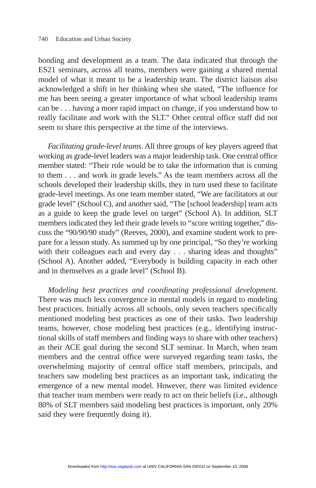bonding and development as a team. The data indicated that through the ES21 seminars, across all teams, members were gaining a shared mental model of what it meant to be a leadership team. The district liaison also acknowledged a shift in her thinking when she stated, "The influence for me has been seeing a greater importance of what school leadership teams can be . . . having a more rapid impact on change, if you understand how to really facilitate and work with the SLT." Other central office staff did not seem to share this perspective at the time of the interviews.

*Facilitating grade-level teams*. All three groups of key players agreed that working as grade-level leaders was a major leadership task. One central office member stated: "Their role would be to take the information that is coming to them . . . and work in grade levels." As the team members across all the schools developed their leadership skills, they in turn used these to facilitate grade-level meetings. As one team member stated, "We are facilitators at our grade level" (School C), and another said, "The [school leadership] team acts as a guide to keep the grade level on target" (School A). In addition, SLT members indicated they led their grade levels to "score writing together," discuss the "90/90/90 study" (Reeves, 2000), and examine student work to prepare for a lesson study. As summed up by one principal, "So they're working with their colleagues each and every day . . . sharing ideas and thoughts" (School A). Another added, "Everybody is building capacity in each other and in themselves as a grade level" (School B).

*Modeling best practices and coordinating professional development*. There was much less convergence in mental models in regard to modeling best practices. Initially across all schools, only seven teachers specifically mentioned modeling best practices as one of their tasks. Two leadership teams, however, chose modeling best practices (e.g., identifying instructional skills of staff members and finding ways to share with other teachers) as their ACE goal during the second SLT seminar. In March, when team members and the central office were surveyed regarding team tasks, the overwhelming majority of central office staff members, principals, and teachers saw modeling best practices as an important task, indicating the emergence of a new mental model. However, there was limited evidence that teacher team members were ready to act on their beliefs (i.e., although 80% of SLT members said modeling best practices is important, only 20% said they were frequently doing it).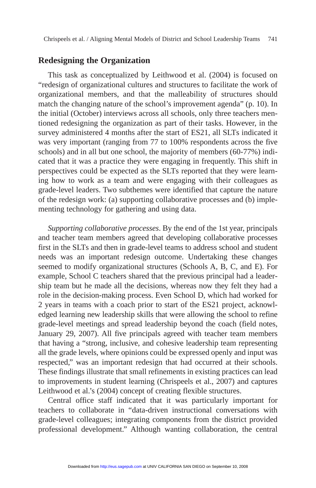#### **Redesigning the Organization**

This task as conceptualized by Leithwood et al. (2004) is focused on "redesign of organizational cultures and structures to facilitate the work of organizational members, and that the malleability of structures should match the changing nature of the school's improvement agenda" (p. 10). In the initial (October) interviews across all schools, only three teachers mentioned redesigning the organization as part of their tasks. However, in the survey administered 4 months after the start of ES21, all SLTs indicated it was very important (ranging from 77 to 100% respondents across the five schools) and in all but one school, the majority of members (60-77%) indicated that it was a practice they were engaging in frequently. This shift in perspectives could be expected as the SLTs reported that they were learning how to work as a team and were engaging with their colleagues as grade-level leaders. Two subthemes were identified that capture the nature of the redesign work: (a) supporting collaborative processes and (b) implementing technology for gathering and using data.

*Supporting collaborative processes*. By the end of the 1st year, principals and teacher team members agreed that developing collaborative processes first in the SLTs and then in grade-level teams to address school and student needs was an important redesign outcome. Undertaking these changes seemed to modify organizational structures (Schools A, B, C, and E). For example, School C teachers shared that the previous principal had a leadership team but he made all the decisions, whereas now they felt they had a role in the decision-making process. Even School D, which had worked for 2 years in teams with a coach prior to start of the ES21 project, acknowledged learning new leadership skills that were allowing the school to refine grade-level meetings and spread leadership beyond the coach (field notes, January 29, 2007). All five principals agreed with teacher team members that having a "strong, inclusive, and cohesive leadership team representing all the grade levels, where opinions could be expressed openly and input was respected," was an important redesign that had occurred at their schools. These findings illustrate that small refinements in existing practices can lead to improvements in student learning (Chrispeels et al., 2007) and captures Leithwood et al.'s (2004) concept of creating flexible structures.

Central office staff indicated that it was particularly important for teachers to collaborate in "data-driven instructional conversations with grade-level colleagues; integrating components from the district provided professional development." Although wanting collaboration, the central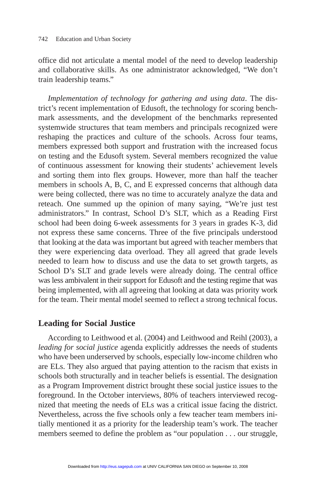office did not articulate a mental model of the need to develop leadership and collaborative skills. As one administrator acknowledged, "We don't train leadership teams."

*Implementation of technology for gathering and using data*. The district's recent implementation of Edusoft, the technology for scoring benchmark assessments, and the development of the benchmarks represented systemwide structures that team members and principals recognized were reshaping the practices and culture of the schools. Across four teams, members expressed both support and frustration with the increased focus on testing and the Edusoft system. Several members recognized the value of continuous assessment for knowing their students' achievement levels and sorting them into flex groups. However, more than half the teacher members in schools A, B, C, and E expressed concerns that although data were being collected, there was no time to accurately analyze the data and reteach. One summed up the opinion of many saying, "We're just test administrators." In contrast, School D's SLT, which as a Reading First school had been doing 6-week assessments for 3 years in grades K-3, did not express these same concerns. Three of the five principals understood that looking at the data was important but agreed with teacher members that they were experiencing data overload. They all agreed that grade levels needed to learn how to discuss and use the data to set growth targets, as School D's SLT and grade levels were already doing. The central office was less ambivalent in their support for Edusoft and the testing regime that was being implemented, with all agreeing that looking at data was priority work for the team. Their mental model seemed to reflect a strong technical focus.

### **Leading for Social Justice**

According to Leithwood et al. (2004) and Leithwood and Reihl (2003), a *leading for social justice* agenda explicitly addresses the needs of students who have been underserved by schools, especially low-income children who are ELs. They also argued that paying attention to the racism that exists in schools both structurally and in teacher beliefs is essential. The designation as a Program Improvement district brought these social justice issues to the foreground. In the October interviews, 80% of teachers interviewed recognized that meeting the needs of ELs was a critical issue facing the district. Nevertheless, across the five schools only a few teacher team members initially mentioned it as a priority for the leadership team's work. The teacher members seemed to define the problem as "our population . . . our struggle,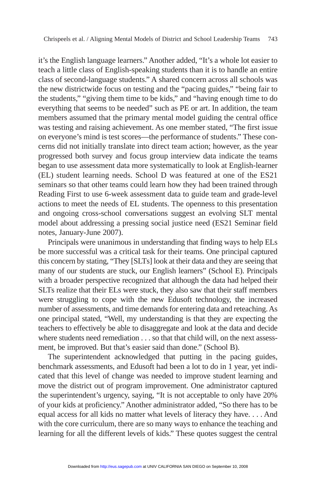it's the English language learners." Another added, "It's a whole lot easier to teach a little class of English-speaking students than it is to handle an entire class of second-language students." A shared concern across all schools was the new districtwide focus on testing and the "pacing guides," "being fair to the students," "giving them time to be kids," and "having enough time to do everything that seems to be needed" such as PE or art. In addition, the team members assumed that the primary mental model guiding the central office was testing and raising achievement. As one member stated, "The first issue on everyone's mind is test scores—the performance of students." These concerns did not initially translate into direct team action; however, as the year progressed both survey and focus group interview data indicate the teams began to use assessment data more systematically to look at English-learner (EL) student learning needs. School D was featured at one of the ES21 seminars so that other teams could learn how they had been trained through Reading First to use 6-week assessment data to guide team and grade-level actions to meet the needs of EL students. The openness to this presentation and ongoing cross-school conversations suggest an evolving SLT mental model about addressing a pressing social justice need (ES21 Seminar field notes, January-June 2007).

Principals were unanimous in understanding that finding ways to help ELs be more successful was a critical task for their teams. One principal captured this concern by stating, "They [SLTs] look at their data and they are seeing that many of our students are stuck, our English learners" (School E). Principals with a broader perspective recognized that although the data had helped their SLTs realize that their ELs were stuck, they also saw that their staff members were struggling to cope with the new Edusoft technology, the increased number of assessments, and time demands for entering data and reteaching. As one principal stated, "Well, my understanding is that they are expecting the teachers to effectively be able to disaggregate and look at the data and decide where students need remediation . . . so that that child will, on the next assessment, be improved. But that's easier said than done." (School B).

The superintendent acknowledged that putting in the pacing guides, benchmark assessments, and Edusoft had been a lot to do in 1 year, yet indicated that this level of change was needed to improve student learning and move the district out of program improvement. One administrator captured the superintendent's urgency, saying, "It is not acceptable to only have 20% of your kids at proficiency." Another administrator added, "So there has to be equal access for all kids no matter what levels of literacy they have. . . . And with the core curriculum, there are so many ways to enhance the teaching and learning for all the different levels of kids." These quotes suggest the central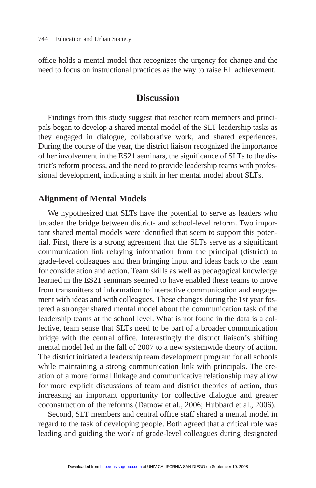office holds a mental model that recognizes the urgency for change and the need to focus on instructional practices as the way to raise EL achievement.

## **Discussion**

Findings from this study suggest that teacher team members and principals began to develop a shared mental model of the SLT leadership tasks as they engaged in dialogue, collaborative work, and shared experiences. During the course of the year, the district liaison recognized the importance of her involvement in the ES21 seminars, the significance of SLTs to the district's reform process, and the need to provide leadership teams with professional development, indicating a shift in her mental model about SLTs.

#### **Alignment of Mental Models**

We hypothesized that SLTs have the potential to serve as leaders who broaden the bridge between district- and school-level reform. Two important shared mental models were identified that seem to support this potential. First, there is a strong agreement that the SLTs serve as a significant communication link relaying information from the principal (district) to grade-level colleagues and then bringing input and ideas back to the team for consideration and action. Team skills as well as pedagogical knowledge learned in the ES21 seminars seemed to have enabled these teams to move from transmitters of information to interactive communication and engagement with ideas and with colleagues. These changes during the 1st year fostered a stronger shared mental model about the communication task of the leadership teams at the school level. What is not found in the data is a collective, team sense that SLTs need to be part of a broader communication bridge with the central office. Interestingly the district liaison's shifting mental model led in the fall of 2007 to a new systemwide theory of action. The district initiated a leadership team development program for all schools while maintaining a strong communication link with principals. The creation of a more formal linkage and communicative relationship may allow for more explicit discussions of team and district theories of action, thus increasing an important opportunity for collective dialogue and greater coconstruction of the reforms (Datnow et al., 2006; Hubbard et al., 2006).

Second, SLT members and central office staff shared a mental model in regard to the task of developing people. Both agreed that a critical role was leading and guiding the work of grade-level colleagues during designated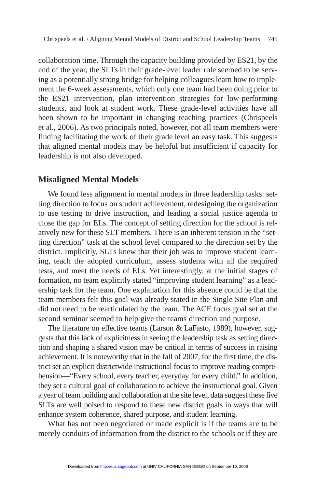collaboration time. Through the capacity building provided by ES21, by the end of the year, the SLTs in their grade-level leader role seemed to be serving as a potentially strong bridge for helping colleagues learn how to implement the 6-week assessments, which only one team had been doing prior to the ES21 intervention, plan intervention strategies for low-performing students, and look at student work. These grade-level activities have all been shown to be important in changing teaching practices (Chrispeels et al., 2006). As two principals noted, however, not all team members were finding facilitating the work of their grade level an easy task. This suggests that aligned mental models may be helpful but insufficient if capacity for leadership is not also developed.

#### **Misaligned Mental Models**

We found less alignment in mental models in three leadership tasks: setting direction to focus on student achievement, redesigning the organization to use testing to drive instruction, and leading a social justice agenda to close the gap for ELs. The concept of setting direction for the school is relatively new for these SLT members. There is an inherent tension in the "setting direction" task at the school level compared to the direction set by the district. Implicitly, SLTs knew that their job was to improve student learning, teach the adopted curriculum, assess students with all the required tests, and meet the needs of ELs. Yet interestingly, at the initial stages of formation, no team explicitly stated "improving student learning" as a leadership task for the team. One explanation for this absence could be that the team members felt this goal was already stated in the Single Site Plan and did not need to be rearticulated by the team. The ACE focus goal set at the second seminar seemed to help give the teams direction and purpose.

The literature on effective teams (Larson & LaFasto, 1989), however, suggests that this lack of explicitness in seeing the leadership task as setting direction and shaping a shared vision may be critical in terms of success in raising achievement. It is noteworthy that in the fall of 2007, for the first time, the district set an explicit districtwide instructional focus to improve reading comprehension—"Every school, every teacher, everyday for every child." In addition, they set a cultural goal of collaboration to achieve the instructional goal. Given a year of team building and collaboration at the site level, data suggest these five SLTs are well poised to respond to these new district goals in ways that will enhance system coherence, shared purpose, and student learning.

What has not been negotiated or made explicit is if the teams are to be merely conduits of information from the district to the schools or if they are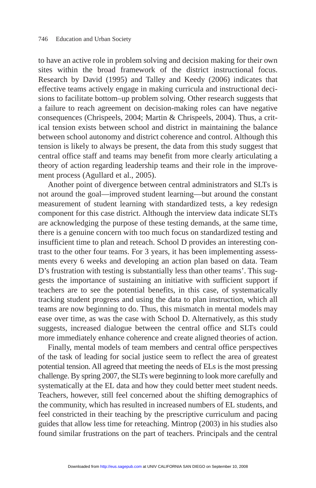to have an active role in problem solving and decision making for their own sites within the broad framework of the district instructional focus. Research by David (1995) and Talley and Keedy (2006) indicates that effective teams actively engage in making curricula and instructional decisions to facilitate bottom–up problem solving. Other research suggests that a failure to reach agreement on decision-making roles can have negative consequences (Chrispeels, 2004; Martin & Chrispeels, 2004). Thus, a critical tension exists between school and district in maintaining the balance between school autonomy and district coherence and control. Although this tension is likely to always be present, the data from this study suggest that central office staff and teams may benefit from more clearly articulating a theory of action regarding leadership teams and their role in the improvement process (Agullard et al., 2005).

Another point of divergence between central administrators and SLTs is not around the goal—improved student learning—but around the constant measurement of student learning with standardized tests, a key redesign component for this case district. Although the interview data indicate SLTs are acknowledging the purpose of these testing demands, at the same time, there is a genuine concern with too much focus on standardized testing and insufficient time to plan and reteach. School D provides an interesting contrast to the other four teams. For 3 years, it has been implementing assessments every 6 weeks and developing an action plan based on data. Team D's frustration with testing is substantially less than other teams'. This suggests the importance of sustaining an initiative with sufficient support if teachers are to see the potential benefits, in this case, of systematically tracking student progress and using the data to plan instruction, which all teams are now beginning to do. Thus, this mismatch in mental models may ease over time, as was the case with School D. Alternatively, as this study suggests, increased dialogue between the central office and SLTs could more immediately enhance coherence and create aligned theories of action.

Finally, mental models of team members and central office perspectives of the task of leading for social justice seem to reflect the area of greatest potential tension. All agreed that meeting the needs of ELs is the most pressing challenge. By spring 2007, the SLTs were beginning to look more carefully and systematically at the EL data and how they could better meet student needs. Teachers, however, still feel concerned about the shifting demographics of the community, which has resulted in increased numbers of EL students, and feel constricted in their teaching by the prescriptive curriculum and pacing guides that allow less time for reteaching. Mintrop (2003) in his studies also found similar frustrations on the part of teachers. Principals and the central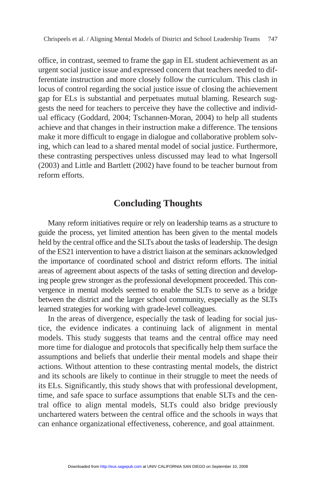office, in contrast, seemed to frame the gap in EL student achievement as an urgent social justice issue and expressed concern that teachers needed to differentiate instruction and more closely follow the curriculum. This clash in locus of control regarding the social justice issue of closing the achievement gap for ELs is substantial and perpetuates mutual blaming. Research suggests the need for teachers to perceive they have the collective and individual efficacy (Goddard, 2004; Tschannen-Moran, 2004) to help all students achieve and that changes in their instruction make a difference. The tensions make it more difficult to engage in dialogue and collaborative problem solving, which can lead to a shared mental model of social justice. Furthermore, these contrasting perspectives unless discussed may lead to what Ingersoll (2003) and Little and Bartlett (2002) have found to be teacher burnout from reform efforts.

# **Concluding Thoughts**

Many reform initiatives require or rely on leadership teams as a structure to guide the process, yet limited attention has been given to the mental models held by the central office and the SLTs about the tasks of leadership. The design of the ES21 intervention to have a district liaison at the seminars acknowledged the importance of coordinated school and district reform efforts. The initial areas of agreement about aspects of the tasks of setting direction and developing people grew stronger as the professional development proceeded. This convergence in mental models seemed to enable the SLTs to serve as a bridge between the district and the larger school community, especially as the SLTs learned strategies for working with grade-level colleagues.

In the areas of divergence, especially the task of leading for social justice, the evidence indicates a continuing lack of alignment in mental models. This study suggests that teams and the central office may need more time for dialogue and protocols that specifically help them surface the assumptions and beliefs that underlie their mental models and shape their actions. Without attention to these contrasting mental models, the district and its schools are likely to continue in their struggle to meet the needs of its ELs. Significantly, this study shows that with professional development, time, and safe space to surface assumptions that enable SLTs and the central office to align mental models, SLTs could also bridge previously unchartered waters between the central office and the schools in ways that can enhance organizational effectiveness, coherence, and goal attainment.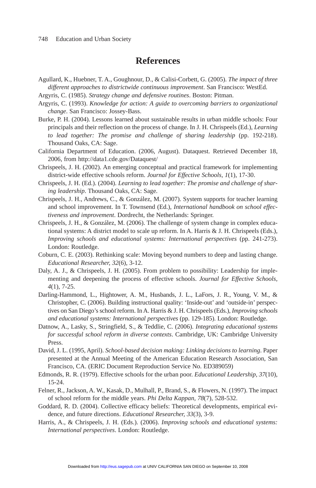# **References**

- Agullard, K., Huebner, T. A., Goughnour, D., & Calisi-Corbett, G. (2005). *The impact of three different approaches to districtwide continuous improvement*. San Francisco: WestEd.
- Argyris, C. (1985). *Strategy change and defensive routines*. Boston: Pitman.
- Argyris, C. (1993). *Knowledge for action: A guide to overcoming barriers to organizational change*. San Francisco: Jossey-Bass.
- Burke, P. H. (2004). Lessons learned about sustainable results in urban middle schools: Four principals and their reflection on the process of change. In J. H. Chrispeels (Ed.), *Learning to lead together: The promise and challenge of sharing leadership* (pp. 192-218). Thousand Oaks, CA: Sage.
- California Department of Education. (2006, August). Dataquest. Retrieved December 18, 2006, from http://data1.cde.gov/Dataquest/
- Chrispeels, J. H. (2002). An emerging conceptual and practical framework for implementing district-wide effective schools reform. *Journal for Effective Schools, 1*(1), 17-30.
- Chrispeels, J. H. (Ed.). (2004). *Learning to lead together: The promise and challenge of sharing leadership*. Thousand Oaks, CA: Sage.
- Chrispeels, J. H., Andrews, C., & González, M. (2007). System supports for teacher learning and school improvement. In T. Townsend (Ed.), *International handbook on school effectiveness and improvement*. Dordrecht, the Netherlands: Springer.
- Chrispeels, J. H., & González, M. (2006). The challenge of system change in complex educational systems: A district model to scale up reform. In A. Harris & J. H. Chrispeels (Eds.), *Improving schools and educational systems: International perspectives* (pp. 241-273). London: Routledge.
- Coburn, C. E. (2003). Rethinking scale: Moving beyond numbers to deep and lasting change. *Educational Researcher, 32*(6), 3-12.
- Daly, A. J., & Chrispeels, J. H. (2005). From problem to possibility: Leadership for implementing and deepening the process of effective schools. *Journal for Effective Schools, 4*(1), 7-25.
- Darling-Hammond, L., Hightower, A. M., Husbands, J. L., LaFors, J. R., Young, V. M., & Christopher, C. (2006). Building instructional quality: 'Inside-out' and 'outside-in' perspectives on San Diego's school reform. In A. Harris & J. H. Chrispeels (Eds.), *Improving schools and educational systems: International perspectives* (pp. 129-185). London: Routledge.
- Datnow, A., Lasky, S., Stringfield, S., & Teddlie, C. (2006). *Integrating educational systems for successful school reform in diverse contexts*. Cambridge, UK: Cambridge University Press.
- David, J. L. (1995, April). *School-based decision making: Linking decisions to learning*. Paper presented at the Annual Meeting of the American Education Research Association, San Francisco, CA. (ERIC Document Reproduction Service No. ED389059)
- Edmonds, R. R. (1979). Effective schools for the urban poor. *Educational Leadership, 37*(10), 15-24.
- Felner, R., Jackson, A. W., Kasak, D., Mulhall, P., Brand, S., & Flowers, N. (1997). The impact of school reform for the middle years. *Phi Delta Kappan, 78*(7), 528-532.
- Goddard, R. D. (2004). Collective efficacy beliefs: Theoretical developments, empirical evidence, and future directions. *Educational Researcher, 33*(3), 3-9.
- Harris, A., & Chrispeels, J. H. (Eds.). (2006). *Improving schools and educational systems: International perspectives*. London: Routledge.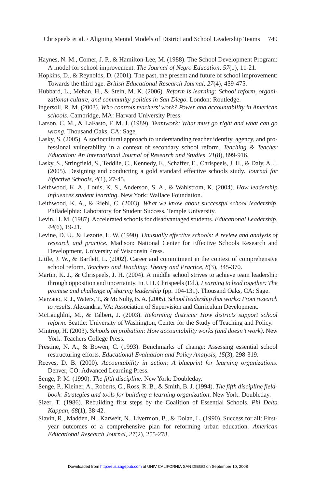Chrispeels et al. / Aligning Mental Models of District and School Leadership Teams 749

- Haynes, N. M., Comer, J. P., & Hamilton-Lee, M. (1988). The School Development Program: A model for school improvement. *The Journal of Negro Education, 57*(1), 11-21.
- Hopkins, D., & Reynolds, D. (2001). The past, the present and future of school improvement: Towards the third age. *British Educational Research Journal, 27*(4), 459-475.
- Hubbard, L., Mehan, H., & Stein, M. K. (2006). *Reform is learning: School reform, organizational culture, and community politics in San Diego*. London: Routledge.
- Ingersoll, R. M. (2003). *Who controls teachers' work? Power and accountability in American schools*. Cambridge, MA: Harvard University Press.
- Larson, C. M., & LaFasto, F. M. J. (1989). *Teamwork: What must go right and what can go wrong*. Thousand Oaks, CA: Sage.
- Lasky, S. (2005). A sociocultural approach to understanding teacher identity, agency, and professional vulnerability in a context of secondary school reform. *Teaching & Teacher Education: An International Journal of Research and Studies, 21*(8), 899-916.
- Lasky, S., Stringfield, S., Teddlie, C., Kennedy, E., Schaffer, E., Chrispeels, J. H., & Daly, A. J. (2005). Designing and conducting a gold standard effective schools study. *Journal for Effective Schools, 4*(1), 27-45.
- Leithwood, K. A., Louis, K. S., Anderson, S. A., & Wahlstrom, K. (2004). *How leadership influences student learning*. New York: Wallace Foundation.
- Leithwood, K. A., & Riehl, C. (2003). *What we know about successful school leadership*. Philadelphia: Laboratory for Student Success, Temple University.
- Levin, H. M. (1987). Accelerated schools for disadvantaged students. *Educational Leadership, 44*(6), 19-21.
- Levine, D. U., & Lezotte, L. W. (1990). *Unusually effective schools: A review and analysis of research and practice*. Madison: National Center for Effective Schools Research and Development, University of Wisconsin Press.
- Little, J. W., & Bartlett, L. (2002). Career and commitment in the context of comprehensive school reform. *Teachers and Teaching: Theory and Practice, 8*(3), 345-370.
- Martin, K. J., & Chrispeels, J. H. (2004). A middle school strives to achieve team leadership through opposition and uncertainty. In J. H. Chrispeels (Ed.), *Learning to lead together: The promise and challenge of sharing leadership* (pp. 104-131). Thousand Oaks, CA: Sage.
- Marzano, R. J., Waters, T., & McNulty, B. A. (2005). *School leadership that works: From research to results*. Alexandria, VA: Association of Supervision and Curriculum Development.
- McLaughlin, M., & Talbert, J. (2003). *Reforming districts: How districts support school reform*. Seattle: University of Washington, Center for the Study of Teaching and Policy.
- Mintrop, H. (2003). *Schools on probation: How accountability works (and doesn't work)*. New York: Teachers College Press.

Prestine, N. A., & Bowen, C. (1993). Benchmarks of change: Assessing essential school restructuring efforts. *Educational Evaluation and Policy Analysis, 15*(3), 298-319.

- Reeves, D. B. (2000). *Accountability in action: A blueprint for learning organizations*. Denver, CO: Advanced Learning Press.
- Senge, P. M. (1990). *The fifth discipline*. New York: Doubleday.
- Senge, P., Kleiner, A., Roberts, C., Ross, R. B., & Smith, B. J. (1994). *The fifth discipline fieldbook: Strategies and tools for building a learning organization*. New York: Doubleday.
- Sizer, T. (1986). Rebuilding first steps by the Coalition of Essential Schools. *Phi Delta Kappan, 68*(1), 38-42.
- Slavin, R., Madden, N., Karweit, N., Livermon, B., & Dolan, L. (1990). Success for all: Firstyear outcomes of a comprehensive plan for reforming urban education. *American Educational Research Journal, 27*(2), 255-278.